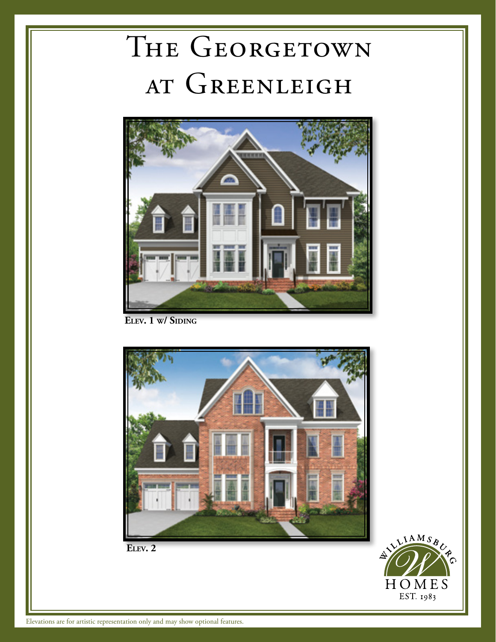## THE GEORGETOWN AT GREENLEIGH



ELEV. 1 W/ SIDING



**Elev. 2**